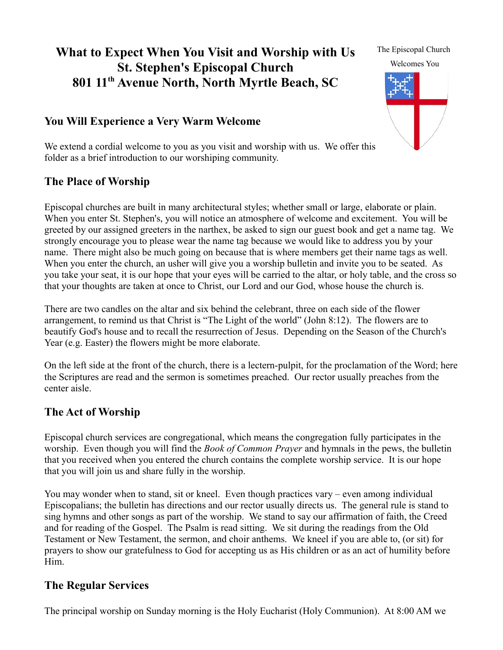# **What to Expect When You Visit and Worship with Us St. Stephen's Episcopal Church 801 11th Avenue North, North Myrtle Beach, SC**

# **You Will Experience a Very Warm Welcome**

The Episcopal Church Welcomes You

We extend a cordial welcome to you as you visit and worship with us. We offer this folder as a brief introduction to our worshiping community.

### **The Place of Worship**

Episcopal churches are built in many architectural styles; whether small or large, elaborate or plain. When you enter St. Stephen's, you will notice an atmosphere of welcome and excitement. You will be greeted by our assigned greeters in the narthex, be asked to sign our guest book and get a name tag. We strongly encourage you to please wear the name tag because we would like to address you by your name. There might also be much going on because that is where members get their name tags as well. When you enter the church, an usher will give you a worship bulletin and invite you to be seated. As you take your seat, it is our hope that your eyes will be carried to the altar, or holy table, and the cross so that your thoughts are taken at once to Christ, our Lord and our God, whose house the church is.

There are two candles on the altar and six behind the celebrant, three on each side of the flower arrangement, to remind us that Christ is "The Light of the world" (John 8:12). The flowers are to beautify God's house and to recall the resurrection of Jesus. Depending on the Season of the Church's Year (e.g. Easter) the flowers might be more elaborate.

On the left side at the front of the church, there is a lectern-pulpit, for the proclamation of the Word; here the Scriptures are read and the sermon is sometimes preached. Our rector usually preaches from the center aisle.

## **The Act of Worship**

Episcopal church services are congregational, which means the congregation fully participates in the worship. Even though you will find the *Book of Common Prayer* and hymnals in the pews, the bulletin that you received when you entered the church contains the complete worship service. It is our hope that you will join us and share fully in the worship.

You may wonder when to stand, sit or kneel. Even though practices vary – even among individual Episcopalians; the bulletin has directions and our rector usually directs us. The general rule is stand to sing hymns and other songs as part of the worship. We stand to say our affirmation of faith, the Creed and for reading of the Gospel. The Psalm is read sitting. We sit during the readings from the Old Testament or New Testament, the sermon, and choir anthems. We kneel if you are able to, (or sit) for prayers to show our gratefulness to God for accepting us as His children or as an act of humility before Him.

#### **The Regular Services**

The principal worship on Sunday morning is the Holy Eucharist (Holy Communion). At 8:00 AM we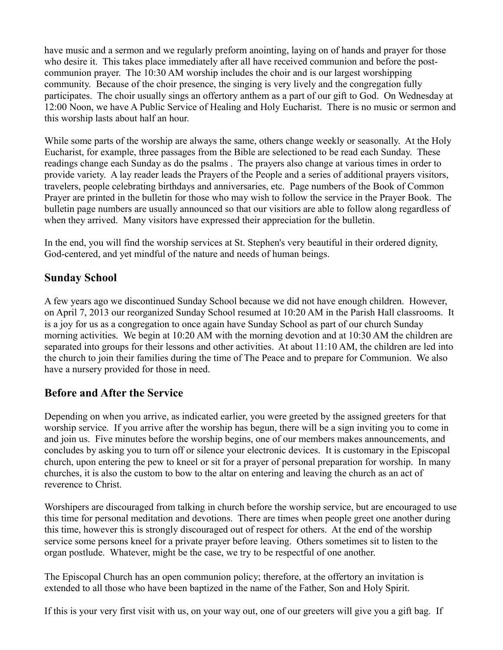have music and a sermon and we regularly preform anointing, laying on of hands and prayer for those who desire it. This takes place immediately after all have received communion and before the postcommunion prayer. The 10:30 AM worship includes the choir and is our largest worshipping community. Because of the choir presence, the singing is very lively and the congregation fully participates. The choir usually sings an offertory anthem as a part of our gift to God. On Wednesday at 12:00 Noon, we have A Public Service of Healing and Holy Eucharist. There is no music or sermon and this worship lasts about half an hour.

While some parts of the worship are always the same, others change weekly or seasonally. At the Holy Eucharist, for example, three passages from the Bible are selectioned to be read each Sunday. These readings change each Sunday as do the psalms . The prayers also change at various times in order to provide variety. A lay reader leads the Prayers of the People and a series of additional prayers visitors, travelers, people celebrating birthdays and anniversaries, etc. Page numbers of the Book of Common Prayer are printed in the bulletin for those who may wish to follow the service in the Prayer Book. The bulletin page numbers are usually announced so that our visitiors are able to follow along regardless of when they arrived. Many visitors have expressed their appreciation for the bulletin.

In the end, you will find the worship services at St. Stephen's very beautiful in their ordered dignity, God-centered, and yet mindful of the nature and needs of human beings.

#### **Sunday School**

A few years ago we discontinued Sunday School because we did not have enough children. However, on April 7, 2013 our reorganized Sunday School resumed at 10:20 AM in the Parish Hall classrooms. It is a joy for us as a congregation to once again have Sunday School as part of our church Sunday morning activities. We begin at 10:20 AM with the morning devotion and at 10:30 AM the children are separated into groups for their lessons and other activities. At about 11:10 AM, the children are led into the church to join their families during the time of The Peace and to prepare for Communion. We also have a nursery provided for those in need.

#### **Before and After the Service**

Depending on when you arrive, as indicated earlier, you were greeted by the assigned greeters for that worship service. If you arrive after the worship has begun, there will be a sign inviting you to come in and join us. Five minutes before the worship begins, one of our members makes announcements, and concludes by asking you to turn off or silence your electronic devices. It is customary in the Episcopal church, upon entering the pew to kneel or sit for a prayer of personal preparation for worship. In many churches, it is also the custom to bow to the altar on entering and leaving the church as an act of reverence to Christ.

Worshipers are discouraged from talking in church before the worship service, but are encouraged to use this time for personal meditation and devotions. There are times when people greet one another during this time, however this is strongly discouraged out of respect for others. At the end of the worship service some persons kneel for a private prayer before leaving. Others sometimes sit to listen to the organ postlude. Whatever, might be the case, we try to be respectful of one another.

The Episcopal Church has an open communion policy; therefore, at the offertory an invitation is extended to all those who have been baptized in the name of the Father, Son and Holy Spirit.

If this is your very first visit with us, on your way out, one of our greeters will give you a gift bag. If